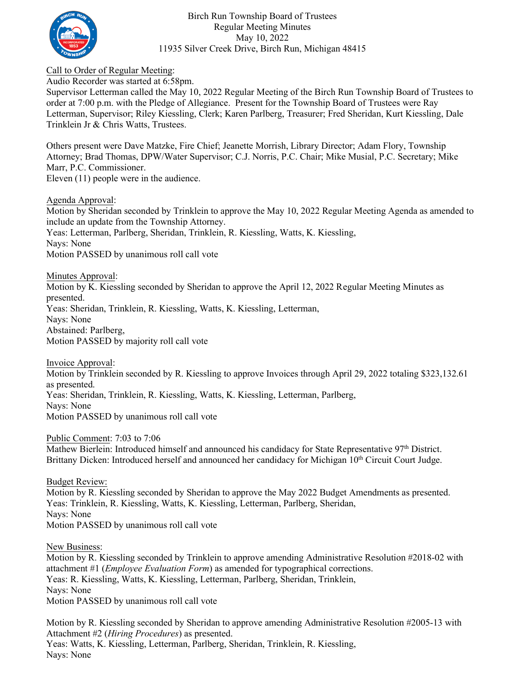

Birch Run Township Board of Trustees Regular Meeting Minutes May 10, 2022 11935 Silver Creek Drive, Birch Run, Michigan 48415

Call to Order of Regular Meeting:

Audio Recorder was started at 6:58pm.

Supervisor Letterman called the May 10, 2022 Regular Meeting of the Birch Run Township Board of Trustees to order at 7:00 p.m. with the Pledge of Allegiance. Present for the Township Board of Trustees were Ray Letterman, Supervisor; Riley Kiessling, Clerk; Karen Parlberg, Treasurer; Fred Sheridan, Kurt Kiessling, Dale Trinklein Jr & Chris Watts, Trustees.

Others present were Dave Matzke, Fire Chief; Jeanette Morrish, Library Director; Adam Flory, Township Attorney; Brad Thomas, DPW/Water Supervisor; C.J. Norris, P.C. Chair; Mike Musial, P.C. Secretary; Mike Marr, P.C. Commissioner. Eleven (11) people were in the audience.

Agenda Approval:

Motion by Sheridan seconded by Trinklein to approve the May 10, 2022 Regular Meeting Agenda as amended to include an update from the Township Attorney. Yeas: Letterman, Parlberg, Sheridan, Trinklein, R. Kiessling, Watts, K. Kiessling, Nays: None Motion PASSED by unanimous roll call vote

Minutes Approval:

Motion by K. Kiessling seconded by Sheridan to approve the April 12, 2022 Regular Meeting Minutes as presented.

Yeas: Sheridan, Trinklein, R. Kiessling, Watts, K. Kiessling, Letterman,

Nays: None

Abstained: Parlberg,

Motion PASSED by majority roll call vote

Invoice Approval:

Motion by Trinklein seconded by R. Kiessling to approve Invoices through April 29, 2022 totaling \$323,132.61 as presented.

Yeas: Sheridan, Trinklein, R. Kiessling, Watts, K. Kiessling, Letterman, Parlberg,

Nays: None

Motion PASSED by unanimous roll call vote

Public Comment: 7:03 to 7:06

Mathew Bierlein: Introduced himself and announced his candidacy for State Representative 97<sup>th</sup> District. Brittany Dicken: Introduced herself and announced her candidacy for Michigan 10<sup>th</sup> Circuit Court Judge.

Budget Review: Motion by R. Kiessling seconded by Sheridan to approve the May 2022 Budget Amendments as presented. Yeas: Trinklein, R. Kiessling, Watts, K. Kiessling, Letterman, Parlberg, Sheridan, Nays: None Motion PASSED by unanimous roll call vote

New Business:

Motion by R. Kiessling seconded by Trinklein to approve amending Administrative Resolution #2018-02 with attachment #1 (*Employee Evaluation Form*) as amended for typographical corrections. Yeas: R. Kiessling, Watts, K. Kiessling, Letterman, Parlberg, Sheridan, Trinklein, Nays: None Motion PASSED by unanimous roll call vote

Motion by R. Kiessling seconded by Sheridan to approve amending Administrative Resolution #2005-13 with Attachment #2 (*Hiring Procedures*) as presented. Yeas: Watts, K. Kiessling, Letterman, Parlberg, Sheridan, Trinklein, R. Kiessling, Nays: None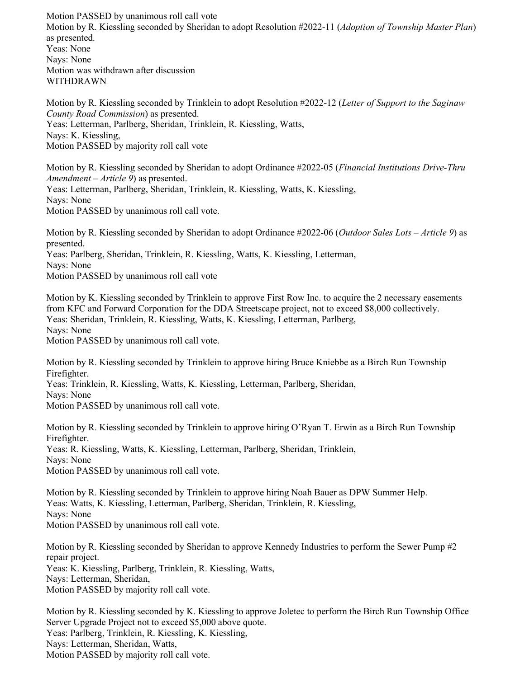Motion PASSED by unanimous roll call vote Motion by R. Kiessling seconded by Sheridan to adopt Resolution #2022-11 (*Adoption of Township Master Plan*) as presented. Yeas: None Nays: None Motion was withdrawn after discussion WITHDRAWN

Motion by R. Kiessling seconded by Trinklein to adopt Resolution #2022-12 (*Letter of Support to the Saginaw County Road Commission*) as presented. Yeas: Letterman, Parlberg, Sheridan, Trinklein, R. Kiessling, Watts, Nays: K. Kiessling, Motion PASSED by majority roll call vote

Motion by R. Kiessling seconded by Sheridan to adopt Ordinance #2022-05 (*Financial Institutions Drive-Thru Amendment – Article 9*) as presented. Yeas: Letterman, Parlberg, Sheridan, Trinklein, R. Kiessling, Watts, K. Kiessling, Nays: None Motion PASSED by unanimous roll call vote.

Motion by R. Kiessling seconded by Sheridan to adopt Ordinance #2022-06 (*Outdoor Sales Lots – Article 9*) as presented. Yeas: Parlberg, Sheridan, Trinklein, R. Kiessling, Watts, K. Kiessling, Letterman, Nays: None Motion PASSED by unanimous roll call vote

Motion by K. Kiessling seconded by Trinklein to approve First Row Inc. to acquire the 2 necessary easements from KFC and Forward Corporation for the DDA Streetscape project, not to exceed \$8,000 collectively. Yeas: Sheridan, Trinklein, R. Kiessling, Watts, K. Kiessling, Letterman, Parlberg, Nays: None Motion PASSED by unanimous roll call vote.

Motion by R. Kiessling seconded by Trinklein to approve hiring Bruce Kniebbe as a Birch Run Township Firefighter.

Yeas: Trinklein, R. Kiessling, Watts, K. Kiessling, Letterman, Parlberg, Sheridan,

Nays: None

Motion PASSED by unanimous roll call vote.

Motion by R. Kiessling seconded by Trinklein to approve hiring O'Ryan T. Erwin as a Birch Run Township Firefighter.

Yeas: R. Kiessling, Watts, K. Kiessling, Letterman, Parlberg, Sheridan, Trinklein, Nays: None

Motion PASSED by unanimous roll call vote.

Motion by R. Kiessling seconded by Trinklein to approve hiring Noah Bauer as DPW Summer Help. Yeas: Watts, K. Kiessling, Letterman, Parlberg, Sheridan, Trinklein, R. Kiessling, Nays: None Motion PASSED by unanimous roll call vote.

Motion by R. Kiessling seconded by Sheridan to approve Kennedy Industries to perform the Sewer Pump #2 repair project. Yeas: K. Kiessling, Parlberg, Trinklein, R. Kiessling, Watts, Nays: Letterman, Sheridan, Motion PASSED by majority roll call vote.

Motion by R. Kiessling seconded by K. Kiessling to approve Joletec to perform the Birch Run Township Office Server Upgrade Project not to exceed \$5,000 above quote. Yeas: Parlberg, Trinklein, R. Kiessling, K. Kiessling, Nays: Letterman, Sheridan, Watts, Motion PASSED by majority roll call vote.